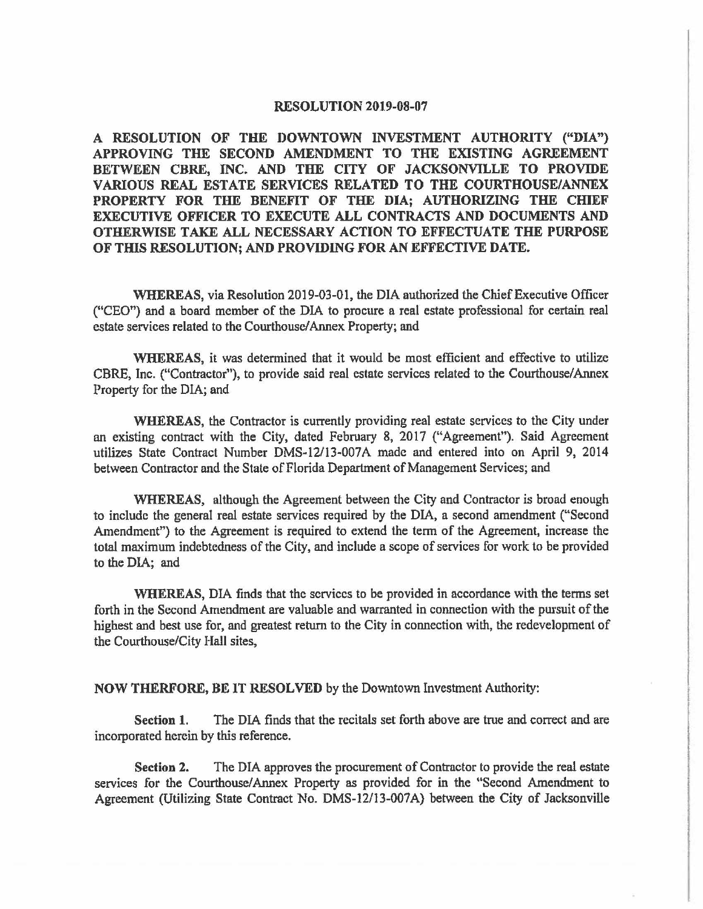#### **RESOLUTION 2019-08-07**

**A RESOLUTION OF THE DOWNTOWN INVESTMENT AUTHORITY ("DIA") APPROVING THE SECOND AMENDMENT TO THE EXISTING AGREEMENT BETWEEN CBRE, INC. AND THE CITY OF JACKSONVILLE TO PROVIDE VARIOUS REAL ESTATE SERVICES RELATED TO THE COURTHOUSE/ANNEX PROPERTY FOR THE BENEFIT OF THE DIA; AUTHORIZING THE CHIEF EXECUTIVE OFFICER TO EXECUTE ALL CONTRACTS AND DOCUMENTS AND OTHERWISE TAKE ALL NECESSARY ACTION TO EFFECTUATE THE PURPOSE OF TffiS RESOLUTION; AND PROVIDING FOR AN EFFECTIVE DATE.** 

**WHEREAS,** via Resolution 2019-03-01, the DIA authorized the Chief Executive Officer ("CEO") and a board member of the DIA to procure a real estate professional for certain real estate services related to the Courthouse/ Annex Property; and

**WHEREAS,** it was detennined that it would be most efficient and effective to utilize CBRE, Inc. ("Contractor"), to provide said real estate services related to the Courthouse/ Annex Property for the DIA; and

**WHEREAS,** the Contractor is currently providing real estate services to the City under an existing contract with the City, dated February 8, 2017 ("Agreement"). Said Agreement utilizes State Contract Number DMS-12/13-007A made and entered into on April 9, 2014 between Contractor and the State of Florida Department of Management Services; and

**WHEREAS,** although the Agreement between the City and Contractor is broad enough to include the general real estate services required by the DIA, a second amendment ("Second Amendment") to the Agreement is required to extend the term of the Agreement, increase the total maximum indebtedness of the City, and include a scope of services for work to be provided to the DIA; and

**WHEREAS,** DIA finds that the services to be provided in accordance with the tenns set forth in the Second Amendment are valuable and warranted in connection with the pursuit of the highest and best use for, and greatest return to the City in connection with, the redevelopment of the Courthouse/City Hall sites,

### **NOW THERFORE, BE** IT **RESOLVED** by the Downtown Investment Authority:

**Section 1.** The DIA finds that the recitals set forth above are true and correct and are incorporated herein by this reference.

**Section 2.** The DIA approves the procurement of Contractor to provide the real estate services for the Courthouse/Annex Property as provided for in the "Second Amendment to Agreement (Utilizing State Contract No. DMS-12/13-00?A) between the City of Jacksonville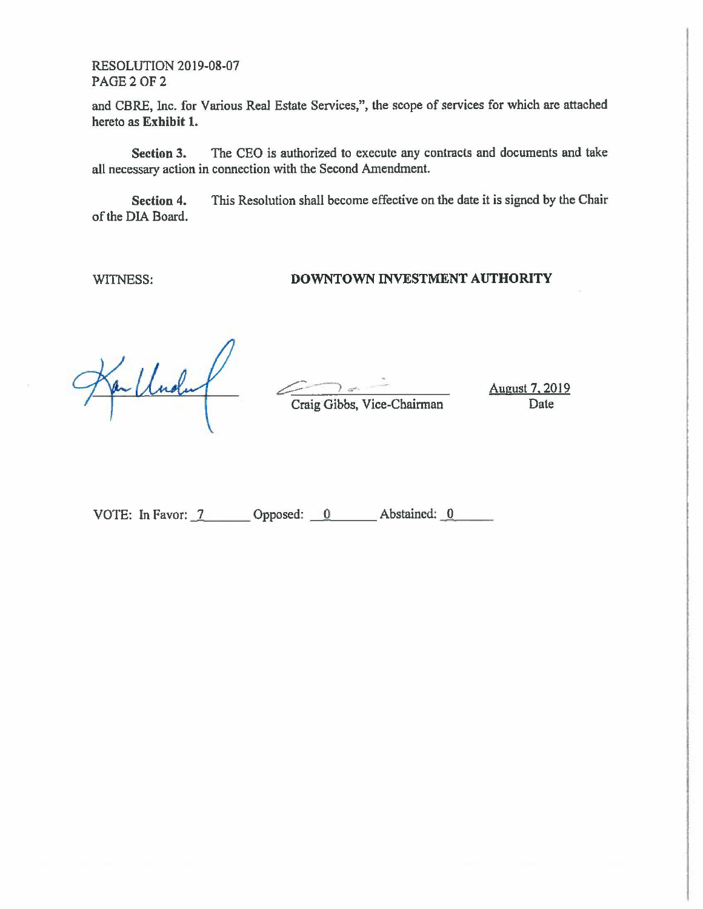RESOLUTION 2019-08-07 PAGE 2 OF 2

and CBRE, Inc. for Various Rea1 Estate Services,", the scope of services for which are attached hereto as **Exhibit 1.** 

**Section 3.** The CEO is authorized to execute any contracts and documents and take all necessary action in connection with the Second Amendment.

**Section** 4. of the DIA Board. This Resolution shall become effective on the date it is signed by the Chair

WITNESS:

# **DOWNTOWN INVESTMENT AUTHORITY**

 $\leftarrow$ Craig Gibbs, Vice-Chairman

August 7, 2019 Date

VOTE: In Favor: 7 Copposed: 0 Abstained: 0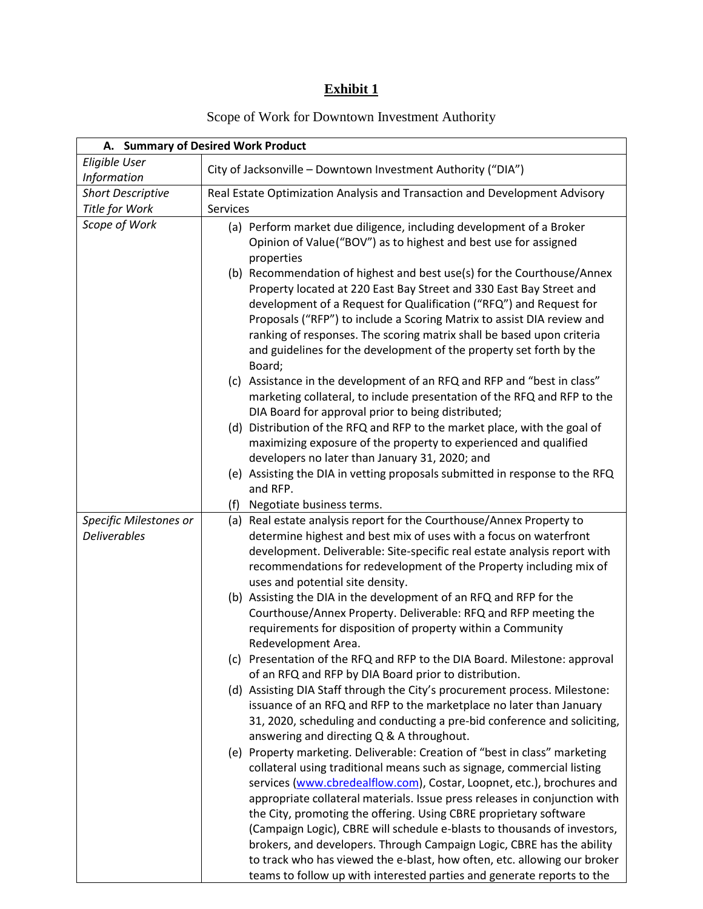# **Exhibit 1**

# Scope of Work for Downtown Investment Authority

| A. Summary of Desired Work Product |                                                                                                        |  |  |
|------------------------------------|--------------------------------------------------------------------------------------------------------|--|--|
| Eligible User                      | City of Jacksonville - Downtown Investment Authority ("DIA")                                           |  |  |
| Information                        |                                                                                                        |  |  |
| <b>Short Descriptive</b>           | Real Estate Optimization Analysis and Transaction and Development Advisory                             |  |  |
| Title for Work                     | <b>Services</b>                                                                                        |  |  |
| Scope of Work                      | (a) Perform market due diligence, including development of a Broker                                    |  |  |
|                                    | Opinion of Value("BOV") as to highest and best use for assigned                                        |  |  |
|                                    | properties                                                                                             |  |  |
|                                    | (b) Recommendation of highest and best use(s) for the Courthouse/Annex                                 |  |  |
|                                    | Property located at 220 East Bay Street and 330 East Bay Street and                                    |  |  |
|                                    | development of a Request for Qualification ("RFQ") and Request for                                     |  |  |
|                                    | Proposals ("RFP") to include a Scoring Matrix to assist DIA review and                                 |  |  |
|                                    | ranking of responses. The scoring matrix shall be based upon criteria                                  |  |  |
|                                    | and guidelines for the development of the property set forth by the                                    |  |  |
|                                    | Board;                                                                                                 |  |  |
|                                    | (c) Assistance in the development of an RFQ and RFP and "best in class"                                |  |  |
|                                    | marketing collateral, to include presentation of the RFQ and RFP to the                                |  |  |
|                                    | DIA Board for approval prior to being distributed;                                                     |  |  |
|                                    | (d) Distribution of the RFQ and RFP to the market place, with the goal of                              |  |  |
|                                    | maximizing exposure of the property to experienced and qualified                                       |  |  |
|                                    | developers no later than January 31, 2020; and                                                         |  |  |
|                                    | (e) Assisting the DIA in vetting proposals submitted in response to the RFQ                            |  |  |
|                                    | and RFP.                                                                                               |  |  |
|                                    | (f) Negotiate business terms.                                                                          |  |  |
| Specific Milestones or             | (a) Real estate analysis report for the Courthouse/Annex Property to                                   |  |  |
| <b>Deliverables</b>                | determine highest and best mix of uses with a focus on waterfront                                      |  |  |
|                                    | development. Deliverable: Site-specific real estate analysis report with                               |  |  |
|                                    | recommendations for redevelopment of the Property including mix of                                     |  |  |
|                                    | uses and potential site density.<br>(b) Assisting the DIA in the development of an RFQ and RFP for the |  |  |
|                                    | Courthouse/Annex Property. Deliverable: RFQ and RFP meeting the                                        |  |  |
|                                    | requirements for disposition of property within a Community                                            |  |  |
|                                    | Redevelopment Area.                                                                                    |  |  |
|                                    | (c) Presentation of the RFQ and RFP to the DIA Board. Milestone: approval                              |  |  |
|                                    | of an RFQ and RFP by DIA Board prior to distribution.                                                  |  |  |
|                                    | (d) Assisting DIA Staff through the City's procurement process. Milestone:                             |  |  |
|                                    | issuance of an RFQ and RFP to the marketplace no later than January                                    |  |  |
|                                    | 31, 2020, scheduling and conducting a pre-bid conference and soliciting,                               |  |  |
|                                    | answering and directing Q & A throughout.                                                              |  |  |
|                                    | (e) Property marketing. Deliverable: Creation of "best in class" marketing                             |  |  |
|                                    | collateral using traditional means such as signage, commercial listing                                 |  |  |
|                                    | services (www.cbredealflow.com), Costar, Loopnet, etc.), brochures and                                 |  |  |
|                                    | appropriate collateral materials. Issue press releases in conjunction with                             |  |  |
|                                    | the City, promoting the offering. Using CBRE proprietary software                                      |  |  |
|                                    | (Campaign Logic), CBRE will schedule e-blasts to thousands of investors,                               |  |  |
|                                    | brokers, and developers. Through Campaign Logic, CBRE has the ability                                  |  |  |
|                                    | to track who has viewed the e-blast, how often, etc. allowing our broker                               |  |  |
|                                    | teams to follow up with interested parties and generate reports to the                                 |  |  |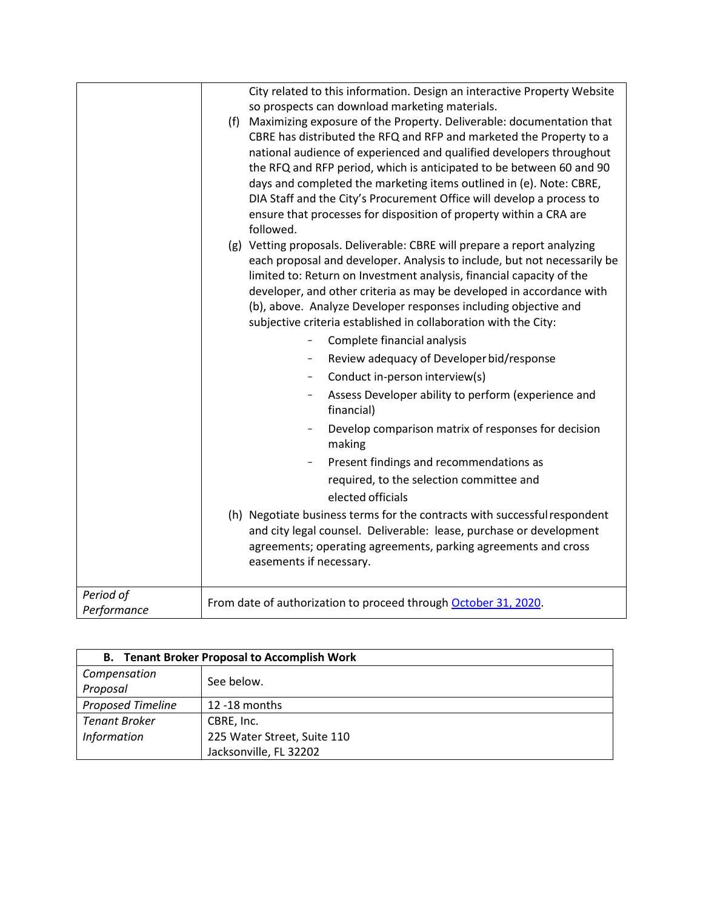|             | City related to this information. Design an interactive Property Website<br>so prospects can download marketing materials.<br>(f) Maximizing exposure of the Property. Deliverable: documentation that<br>CBRE has distributed the RFQ and RFP and marketed the Property to a<br>national audience of experienced and qualified developers throughout<br>the RFQ and RFP period, which is anticipated to be between 60 and 90<br>days and completed the marketing items outlined in (e). Note: CBRE,<br>DIA Staff and the City's Procurement Office will develop a process to<br>ensure that processes for disposition of property within a CRA are<br>followed. |
|-------------|------------------------------------------------------------------------------------------------------------------------------------------------------------------------------------------------------------------------------------------------------------------------------------------------------------------------------------------------------------------------------------------------------------------------------------------------------------------------------------------------------------------------------------------------------------------------------------------------------------------------------------------------------------------|
|             | (g) Vetting proposals. Deliverable: CBRE will prepare a report analyzing<br>each proposal and developer. Analysis to include, but not necessarily be<br>limited to: Return on Investment analysis, financial capacity of the<br>developer, and other criteria as may be developed in accordance with<br>(b), above. Analyze Developer responses including objective and<br>subjective criteria established in collaboration with the City:<br>Complete financial analysis                                                                                                                                                                                        |
|             | Review adequacy of Developer bid/response<br>$\overline{\phantom{a}}$                                                                                                                                                                                                                                                                                                                                                                                                                                                                                                                                                                                            |
|             | Conduct in-person interview(s)                                                                                                                                                                                                                                                                                                                                                                                                                                                                                                                                                                                                                                   |
|             | Assess Developer ability to perform (experience and<br>$\overline{\phantom{a}}$<br>financial)                                                                                                                                                                                                                                                                                                                                                                                                                                                                                                                                                                    |
|             | Develop comparison matrix of responses for decision<br>making                                                                                                                                                                                                                                                                                                                                                                                                                                                                                                                                                                                                    |
|             | Present findings and recommendations as                                                                                                                                                                                                                                                                                                                                                                                                                                                                                                                                                                                                                          |
|             | required, to the selection committee and                                                                                                                                                                                                                                                                                                                                                                                                                                                                                                                                                                                                                         |
|             | elected officials                                                                                                                                                                                                                                                                                                                                                                                                                                                                                                                                                                                                                                                |
|             | (h) Negotiate business terms for the contracts with successful respondent<br>and city legal counsel. Deliverable: lease, purchase or development<br>agreements; operating agreements, parking agreements and cross<br>easements if necessary.                                                                                                                                                                                                                                                                                                                                                                                                                    |
| Period of   | From date of authorization to proceed through October 31, 2020.                                                                                                                                                                                                                                                                                                                                                                                                                                                                                                                                                                                                  |
| Performance |                                                                                                                                                                                                                                                                                                                                                                                                                                                                                                                                                                                                                                                                  |

| <b>B.</b> Tenant Broker Proposal to Accomplish Work |                             |  |
|-----------------------------------------------------|-----------------------------|--|
| Compensation                                        | See below.                  |  |
| Proposal                                            |                             |  |
| <b>Proposed Timeline</b>                            | $12 - 18$ months            |  |
| <b>Tenant Broker</b>                                | CBRE, Inc.                  |  |
| <b>Information</b>                                  | 225 Water Street, Suite 110 |  |
|                                                     | Jacksonville, FL 32202      |  |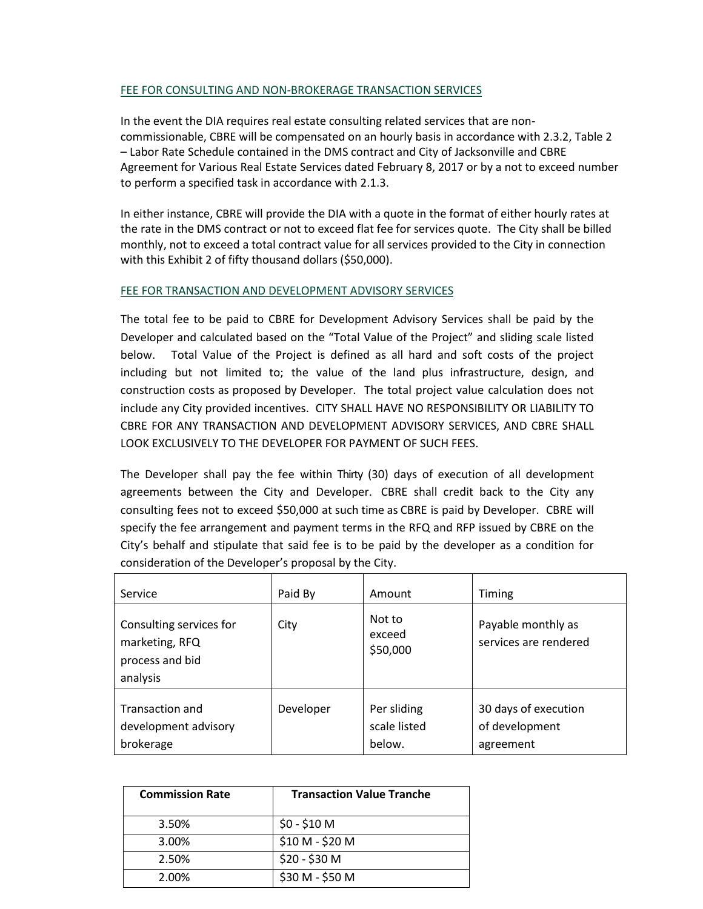### FEE FOR CONSULTING AND NON-BROKERAGE TRANSACTION SERVICES

In the event the DIA requires real estate consulting related services that are noncommissionable, CBRE will be compensated on an hourly basis in accordance with 2.3.2, Table 2 – Labor Rate Schedule contained in the DMS contract and City of Jacksonville and CBRE Agreement for Various Real Estate Services dated February 8, 2017 or by a not to exceed number to perform a specified task in accordance with 2.1.3.

In either instance, CBRE will provide the DIA with a quote in the format of either hourly rates at the rate in the DMS contract or not to exceed flat fee for services quote. The City shall be billed monthly, not to exceed a total contract value for all services provided to the City in connection with this Exhibit 2 of fifty thousand dollars (\$50,000).

### FEE FOR TRANSACTION AND DEVELOPMENT ADVISORY SERVICES

The total fee to be paid to CBRE for Development Advisory Services shall be paid by the Developer and calculated based on the "Total Value of the Project" and sliding scale listed below. Total Value of the Project is defined as all hard and soft costs of the project including but not limited to; the value of the land plus infrastructure, design, and construction costs as proposed by Developer. The total project value calculation does not include any City provided incentives. CITY SHALL HAVE NO RESPONSIBILITY OR LIABILITY TO CBRE FOR ANY TRANSACTION AND DEVELOPMENT ADVISORY SERVICES, AND CBRE SHALL LOOK EXCLUSIVELY TO THE DEVELOPER FOR PAYMENT OF SUCH FEES.

The Developer shall pay the fee within Thirty (30) days of execution of all development agreements between the City and Developer. CBRE shall credit back to the City any consulting fees not to exceed \$50,000 at such time as CBRE is paid by Developer. CBRE will specify the fee arrangement and payment terms in the RFQ and RFP issued by CBRE on the City's behalf and stipulate that said fee is to be paid by the developer as a condition for consideration of the Developer's proposal by the City.

| Service                                                                  | Paid By   | Amount                                | Timing                                              |
|--------------------------------------------------------------------------|-----------|---------------------------------------|-----------------------------------------------------|
| Consulting services for<br>marketing, RFQ<br>process and bid<br>analysis | City      | Not to<br>exceed<br>\$50,000          | Payable monthly as<br>services are rendered         |
| <b>Transaction and</b><br>development advisory<br>brokerage              | Developer | Per sliding<br>scale listed<br>below. | 30 days of execution<br>of development<br>agreement |

| <b>Commission Rate</b> | <b>Transaction Value Tranche</b> |
|------------------------|----------------------------------|
| 3.50%                  | $$0 - $10$ M                     |
| 3.00%                  | \$10 M - \$20 M                  |
| 2.50%                  | \$20 - \$30 M                    |
| 2.00%                  | \$30 M - \$50 M                  |